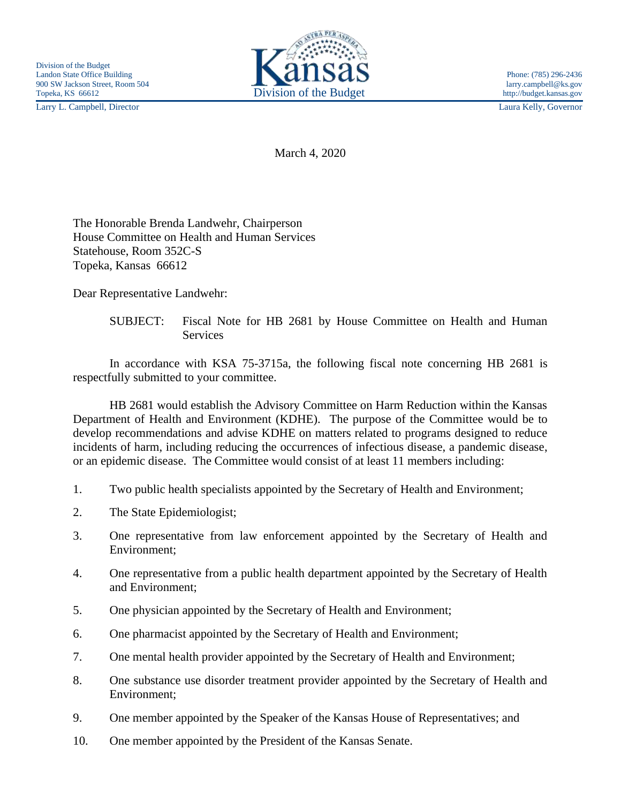Larry L. Campbell, Director Laura Kelly, Governor



March 4, 2020

The Honorable Brenda Landwehr, Chairperson House Committee on Health and Human Services Statehouse, Room 352C-S Topeka, Kansas 66612

Dear Representative Landwehr:

In accordance with KSA 75-3715a, the following fiscal note concerning HB 2681 is respectfully submitted to your committee.

HB 2681 would establish the Advisory Committee on Harm Reduction within the Kansas Department of Health and Environment (KDHE). The purpose of the Committee would be to develop recommendations and advise KDHE on matters related to programs designed to reduce incidents of harm, including reducing the occurrences of infectious disease, a pandemic disease, or an epidemic disease. The Committee would consist of at least 11 members including:

- 1. Two public health specialists appointed by the Secretary of Health and Environment;
- 2. The State Epidemiologist;
- 3. One representative from law enforcement appointed by the Secretary of Health and Environment;
- 4. One representative from a public health department appointed by the Secretary of Health and Environment;
- 5. One physician appointed by the Secretary of Health and Environment;
- 6. One pharmacist appointed by the Secretary of Health and Environment;
- 7. One mental health provider appointed by the Secretary of Health and Environment;
- 8. One substance use disorder treatment provider appointed by the Secretary of Health and Environment;
- 9. One member appointed by the Speaker of the Kansas House of Representatives; and
- 10. One member appointed by the President of the Kansas Senate.

SUBJECT: Fiscal Note for HB 2681 by House Committee on Health and Human **Services**